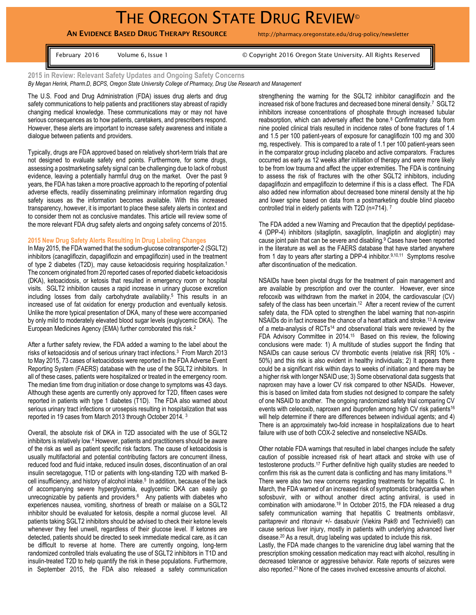# THE OREGON STATE DRUG REVIEW®

# **AN EVIDENCE BASED DRUG THERAPY RESOURCE** http://pharmacy.oregonstate.edu/drug-policy/newsletter

February 2016 Volume 6, Issue 1 Colume 1 Copyright 2016 Oregon State University. All Rights Reserved

**2015 in Review: Relevant Safety Updates and Ongoing Safety Concerns**  *By Megan Herink, Pharm.D, BCPS, Oregon State University College of Pharmacy, Drug Use Research and Management*

The U.S. Food and Drug Administration (FDA) issues drug alerts and drug safety communications to help patients and practitioners stay abreast of rapidly changing medical knowledge. These communications may or may not have serious consequences as to how patients, caretakers, and prescribers respond. However, these alerts are important to increase safety awareness and initiate a dialogue between patients and providers.

Typically, drugs are FDA approved based on relatively short-term trials that are not designed to evaluate safety end points. Furthermore, for some drugs, assessing a postmarketing safety signal can be challenging due to lack of robust evidence, leaving a potentially harmful drug on the market. Over the past 9 years, the FDA has taken a more proactive approach to the reporting of potential adverse effects, readily disseminating preliminary information regarding drug safety issues as the information becomes available. With this increased transparency, however, it is important to place these safety alerts in context and to consider them not as conclusive mandates. This article will review some of the more relevant FDA drug safety alerts and ongoing safety concerns of 2015.

### **2015 New Drug Safety Alerts Resulting In Drug Labeling Changes**

In May 2015, the FDA warned that the sodium-glucose cotransporter-2 (SGLT2) inhibitors (canagliflozin, dapagliflozin and empagliflozin) used in the treatment of type 2 diabetes (T2D), may cause ketoacidosis requiring hospitalization.<sup>1</sup> The concern originated from 20 reported cases of reported diabetic ketoacidosis (DKA), ketoacidosis, or ketosis that resulted in emergency room or hospital visits. SGLT2 inhibition causes a rapid increase in urinary glucose excretion including losses from daily carbohydrate availability.<sup>5</sup> This results in an increased use of fat oxidation for energy production and eventually ketosis. Unlike the more typical presentation of DKA, many of these were accompanied by only mild to moderately elevated blood sugar levels (euglycemic DKA). The European Medicines Agency (EMA) further corroborated this risk. 2

After a further safety review, the FDA added a warning to the label about the risks of ketoacidosis and of serious urinary tract infections.<sup>3</sup> From March 2013 to May 2015, 73 cases of ketoacidosis were reported in the FDA Adverse Event Reporting System (FAERS) database with the use of the SGLT2 inhibitors. In all of these cases, patients were hospitalized or treated in the emergency room. The median time from drug initiation or dose change to symptoms was 43 days. Although these agents are currently only approved for T2D, fifteen cases were reported in patients with type 1 diabetes (T1D). The FDA also warned about serious urinary tract infections or urosepsis resulting in hospitalization that was reported in 19 cases from March 2013 through October 2014. <sup>3</sup>

Overall, the absolute risk of DKA in T2D associated with the use of SGLT2 inhibitors is relatively low.<sup>4</sup> However, patients and practitioners should be aware of the risk as well as patient specific risk factors. The cause of ketoacidosis is usually multifactorial and potential contributing factors are concurrent illness, reduced food and fluid intake, reduced insulin doses, discontinuation of an oral insulin secretagogue, T1D or patients with long-standing T2D with marked Bcell insufficiency, and history of alcohol intake.<sup>5</sup> In addition, because of the lack of accompanying severe hyperglycemia, euglycemic DKA can easily go unrecognizable by patients and providers.<sup>6</sup> Any patients with diabetes who experiences nausea, vomiting, shortness of breath or malaise on a SGLT2 inhibitor should be evaluated for ketosis, despite a normal glucose level. All patients taking SGLT2 inhibitors should be advised to check their ketone levels whenever they feel unwell, regardless of their glucose level. If ketones are detected, patients should be directed to seek immediate medical care, as it can be difficult to reverse at home. There are currently ongoing, long-term randomized controlled trials evaluating the use of SGLT2 inhibitors in T1D and insulin-treated T2D to help quantify the risk in these populations. Furthermore, in September 2015, the FDA also released a safety communication strengthening the warning for the SGLT2 inhibitor canagliflozin and the increased risk of bone fractures and decreased bone mineral density.<sup>7</sup> SGLT2 inhibitors increase concentrations of phosphate through increased tubular reabsorption, which can adversely affect the bone.<sup>8</sup> Confirmatory data from nine pooled clinical trials resulted in incidence rates of bone fractures of 1.4 and 1.5 per 100 patient-years of exposure for canagliflozin 100 mg and 300 mg, respectively. This is compared to a rate of 1.1 per 100 patient-years seen in the comparator group including placebo and active comparators. Fractures occurred as early as 12 weeks after initiation of therapy and were more likely to be from low trauma and affect the upper extremities. The FDA is continuing to assess the risk of fractures with the other SGLT2 inhibitors, including dapagliflozin and empagliflozin to determine if this is a class effect. The FDA also added new information about decreased bone mineral density at the hip and lower spine based on data from a postmarketing double blind placebo controlled trial in elderly patients with T2D (n=714). <sup>7</sup>

The FDA added a new Warning and Precaution that the dipeptidyl peptidase-4 (DPP-4) inhibitors (sitagliptin, saxagliptin, linagliptin and alogliptin) may cause joint pain that can be severe and disabling.<sup>9</sup> Cases have been reported in the literature as well as the FAERS database that have started anywhere from 1 day to years after starting a DPP-4 inhibitor.<sup>9,10,11</sup> Symptoms resolve after discontinuation of the medication.

NSAIDs have been pivotal drugs for the treatment of pain management and are available by prescription and over the counter. However, ever since refocoxib was withdrawn from the market in 2004, the cardiovascular (CV) safety of the class has been uncertain.<sup>12</sup> After a recent review of the current safety data, the FDA opted to strengthen the label warning that non-aspirin NSAIDs do in fact increase the chance of a heart attack and stroke.<sup>13</sup> A review of a meta-analysis of RCTs<sup>14</sup> and observational trials were reviewed by the FDA Advisory Committee in 2014.<sup>15</sup> Based on this review, the following conclusions were made: 1) A multitude of studies support the finding that NSAIDs can cause serious CV thrombotic events (relative risk [RR] 10% - 50%) and this risk is also evident in healthy individuals; 2) It appears there could be a significant risk within days to weeks of initiation and there may be a higher risk with longer NSAID use; 3) Some observational data suggests that naproxen may have a lower CV risk compared to other NSAIDs. However, this is based on limited data from studies not designed to compare the safety of one NSAID to another. The ongoing randomized safety trial comparing CV events with celecoxib, naproxen and ibuprofen among high CV risk patients<sup>16</sup> will help determine if there are differences between individual agents; and 4) There is an approximately two-fold increase in hospitalizations due to heart failure with use of both COX-2 selective and nonselective NSAIDs.

Other notable FDA warnings that resulted in label changes include the safety caution of possible increased risk of heart attack and stroke with use of testosterone products.<sup>17</sup> Further definitive high quality studies are needed to confirm this risk as the current data is conflicting and has many limitations.<sup>18</sup> There were also two new concerns regarding treatments for hepatitis C. In March, the FDA warned of an increased risk of symptomatic bradycardia when sofosbuvir, with or without another direct acting antiviral, is used in combination with amiodarone.<sup>19</sup> In October 2015, the FDA released a drug safety communication warning that hepatitis C treatments ombitasvir, paritaprevir and ritonavir +/- dasabuvir (Viekira Pak® and Technivie®) can cause serious liver injury, mostly in patients with underlying advanced liver disease.<sup>20</sup> As a result, drug labeling was updated to include this risk. Lastly, the FDA made changes to the varenicline drug label warning that the prescription smoking cessation medication may react with alcohol, resulting in decreased tolerance or aggressive behavior. Rate reports of seizures were also reported. <sup>21</sup> None of the cases involved excessive amounts of alcohol.